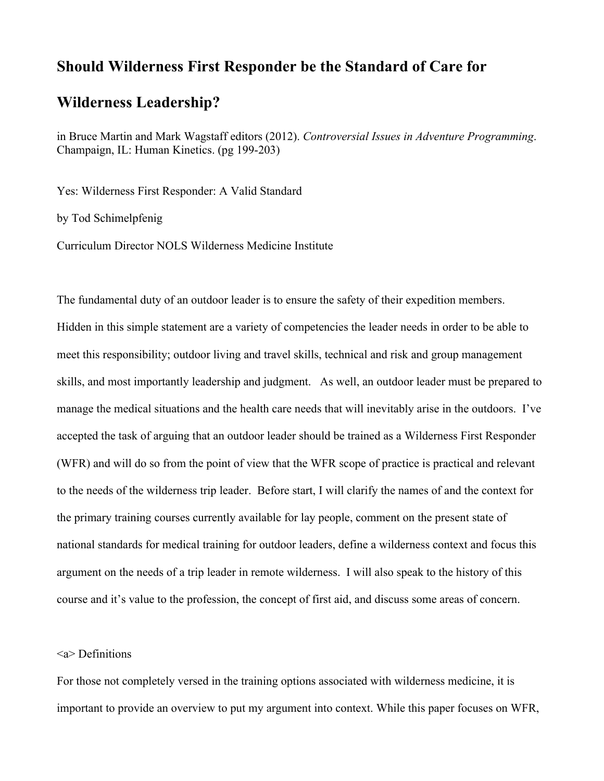# **Should Wilderness First Responder be the Standard of Care for**

## **Wilderness Leadership?**

in Bruce Martin and Mark Wagstaff editors (2012). *Controversial Issues in Adventure Programming*. Champaign, IL: Human Kinetics. (pg 199-203)

Yes: Wilderness First Responder: A Valid Standard

by Tod Schimelpfenig

Curriculum Director NOLS Wilderness Medicine Institute

The fundamental duty of an outdoor leader is to ensure the safety of their expedition members. Hidden in this simple statement are a variety of competencies the leader needs in order to be able to meet this responsibility; outdoor living and travel skills, technical and risk and group management skills, and most importantly leadership and judgment. As well, an outdoor leader must be prepared to manage the medical situations and the health care needs that will inevitably arise in the outdoors. I've accepted the task of arguing that an outdoor leader should be trained as a Wilderness First Responder (WFR) and will do so from the point of view that the WFR scope of practice is practical and relevant to the needs of the wilderness trip leader. Before start, I will clarify the names of and the context for the primary training courses currently available for lay people, comment on the present state of national standards for medical training for outdoor leaders, define a wilderness context and focus this argument on the needs of a trip leader in remote wilderness. I will also speak to the history of this course and it's value to the profession, the concept of first aid, and discuss some areas of concern.

#### <a> Definitions

For those not completely versed in the training options associated with wilderness medicine, it is important to provide an overview to put my argument into context. While this paper focuses on WFR,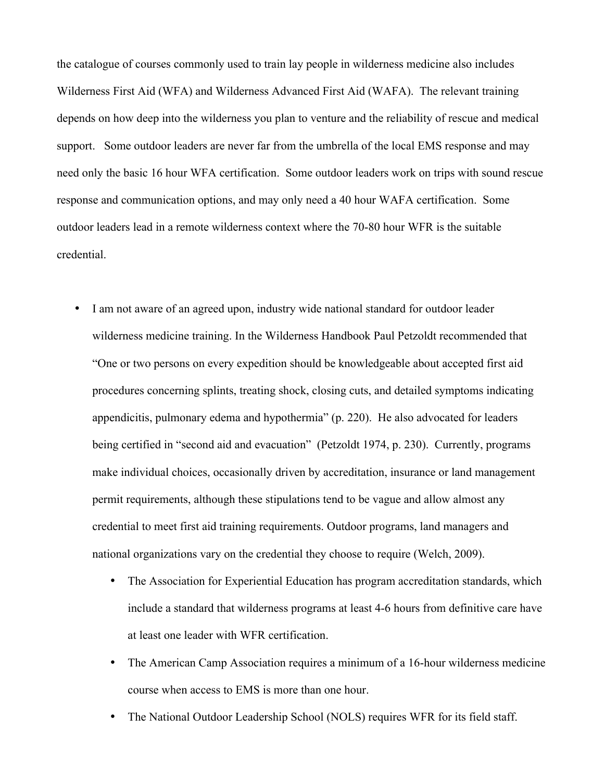the catalogue of courses commonly used to train lay people in wilderness medicine also includes Wilderness First Aid (WFA) and Wilderness Advanced First Aid (WAFA). The relevant training depends on how deep into the wilderness you plan to venture and the reliability of rescue and medical support. Some outdoor leaders are never far from the umbrella of the local EMS response and may need only the basic 16 hour WFA certification. Some outdoor leaders work on trips with sound rescue response and communication options, and may only need a 40 hour WAFA certification. Some outdoor leaders lead in a remote wilderness context where the 70-80 hour WFR is the suitable credential.

- I am not aware of an agreed upon, industry wide national standard for outdoor leader wilderness medicine training. In the Wilderness Handbook Paul Petzoldt recommended that "One or two persons on every expedition should be knowledgeable about accepted first aid procedures concerning splints, treating shock, closing cuts, and detailed symptoms indicating appendicitis, pulmonary edema and hypothermia" (p. 220). He also advocated for leaders being certified in "second aid and evacuation" (Petzoldt 1974, p. 230). Currently, programs make individual choices, occasionally driven by accreditation, insurance or land management permit requirements, although these stipulations tend to be vague and allow almost any credential to meet first aid training requirements. Outdoor programs, land managers and national organizations vary on the credential they choose to require (Welch, 2009).
	- The Association for Experiential Education has program accreditation standards, which include a standard that wilderness programs at least 4-6 hours from definitive care have at least one leader with WFR certification.
	- The American Camp Association requires a minimum of a 16-hour wilderness medicine course when access to EMS is more than one hour.
	- The National Outdoor Leadership School (NOLS) requires WFR for its field staff.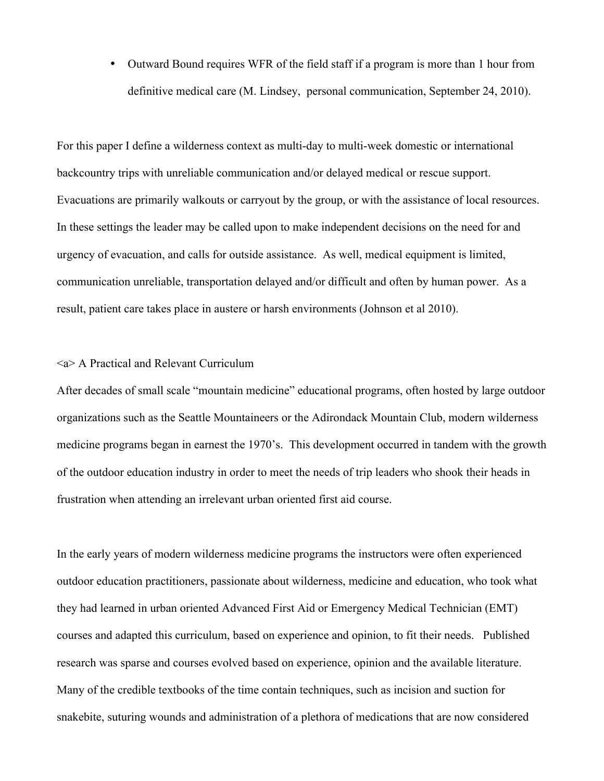• Outward Bound requires WFR of the field staff if a program is more than 1 hour from definitive medical care (M. Lindsey, personal communication, September 24, 2010).

For this paper I define a wilderness context as multi-day to multi-week domestic or international backcountry trips with unreliable communication and/or delayed medical or rescue support. Evacuations are primarily walkouts or carryout by the group, or with the assistance of local resources. In these settings the leader may be called upon to make independent decisions on the need for and urgency of evacuation, and calls for outside assistance. As well, medical equipment is limited, communication unreliable, transportation delayed and/or difficult and often by human power. As a result, patient care takes place in austere or harsh environments (Johnson et al 2010).

#### <a> A Practical and Relevant Curriculum

After decades of small scale "mountain medicine" educational programs, often hosted by large outdoor organizations such as the Seattle Mountaineers or the Adirondack Mountain Club, modern wilderness medicine programs began in earnest the 1970's. This development occurred in tandem with the growth of the outdoor education industry in order to meet the needs of trip leaders who shook their heads in frustration when attending an irrelevant urban oriented first aid course.

In the early years of modern wilderness medicine programs the instructors were often experienced outdoor education practitioners, passionate about wilderness, medicine and education, who took what they had learned in urban oriented Advanced First Aid or Emergency Medical Technician (EMT) courses and adapted this curriculum, based on experience and opinion, to fit their needs. Published research was sparse and courses evolved based on experience, opinion and the available literature. Many of the credible textbooks of the time contain techniques, such as incision and suction for snakebite, suturing wounds and administration of a plethora of medications that are now considered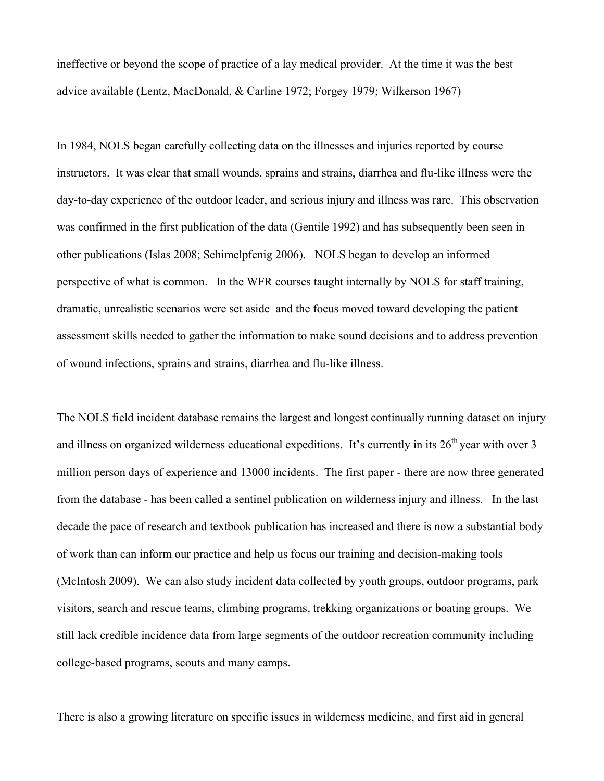ineffective or beyond the scope of practice of a lay medical provider. At the time it was the best advice available (Lentz, MacDonald, & Carline 1972; Forgey 1979; Wilkerson 1967)

In 1984, NOLS began carefully collecting data on the illnesses and injuries reported by course instructors. It was clear that small wounds, sprains and strains, diarrhea and flu-like illness were the day-to-day experience of the outdoor leader, and serious injury and illness was rare. This observation was confirmed in the first publication of the data (Gentile 1992) and has subsequently been seen in other publications (Islas 2008; Schimelpfenig 2006). NOLS began to develop an informed perspective of what is common. In the WFR courses taught internally by NOLS for staff training, dramatic, unrealistic scenarios were set aside and the focus moved toward developing the patient assessment skills needed to gather the information to make sound decisions and to address prevention of wound infections, sprains and strains, diarrhea and flu-like illness.

The NOLS field incident database remains the largest and longest continually running dataset on injury and illness on organized wilderness educational expeditions. It's currently in its  $26<sup>th</sup>$  year with over 3 million person days of experience and 13000 incidents. The first paper - there are now three generated from the database - has been called a sentinel publication on wilderness injury and illness. In the last decade the pace of research and textbook publication has increased and there is now a substantial body of work than can inform our practice and help us focus our training and decision-making tools (McIntosh 2009). We can also study incident data collected by youth groups, outdoor programs, park visitors, search and rescue teams, climbing programs, trekking organizations or boating groups. We still lack credible incidence data from large segments of the outdoor recreation community including college-based programs, scouts and many camps.

There is also a growing literature on specific issues in wilderness medicine, and first aid in general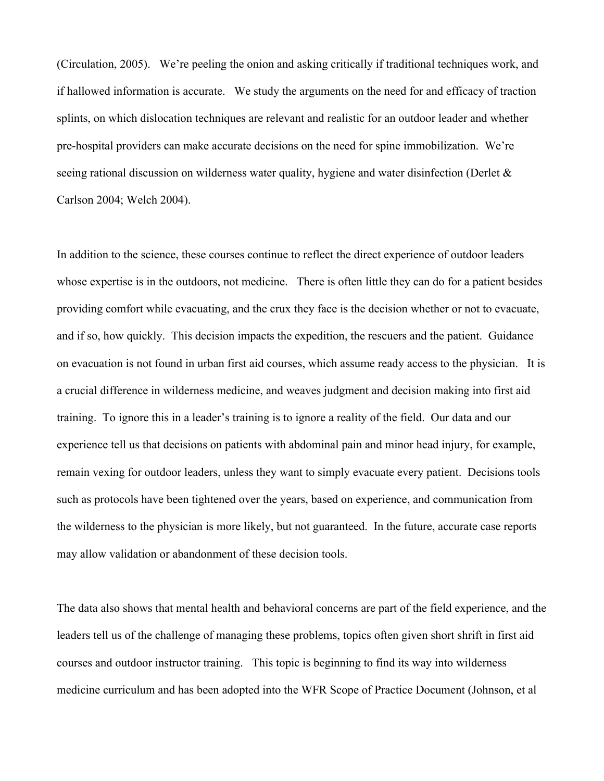(Circulation, 2005). We're peeling the onion and asking critically if traditional techniques work, and if hallowed information is accurate. We study the arguments on the need for and efficacy of traction splints, on which dislocation techniques are relevant and realistic for an outdoor leader and whether pre-hospital providers can make accurate decisions on the need for spine immobilization. We're seeing rational discussion on wilderness water quality, hygiene and water disinfection (Derlet & Carlson 2004; Welch 2004).

In addition to the science, these courses continue to reflect the direct experience of outdoor leaders whose expertise is in the outdoors, not medicine. There is often little they can do for a patient besides providing comfort while evacuating, and the crux they face is the decision whether or not to evacuate, and if so, how quickly. This decision impacts the expedition, the rescuers and the patient. Guidance on evacuation is not found in urban first aid courses, which assume ready access to the physician. It is a crucial difference in wilderness medicine, and weaves judgment and decision making into first aid training. To ignore this in a leader's training is to ignore a reality of the field. Our data and our experience tell us that decisions on patients with abdominal pain and minor head injury, for example, remain vexing for outdoor leaders, unless they want to simply evacuate every patient. Decisions tools such as protocols have been tightened over the years, based on experience, and communication from the wilderness to the physician is more likely, but not guaranteed. In the future, accurate case reports may allow validation or abandonment of these decision tools.

The data also shows that mental health and behavioral concerns are part of the field experience, and the leaders tell us of the challenge of managing these problems, topics often given short shrift in first aid courses and outdoor instructor training. This topic is beginning to find its way into wilderness medicine curriculum and has been adopted into the WFR Scope of Practice Document (Johnson, et al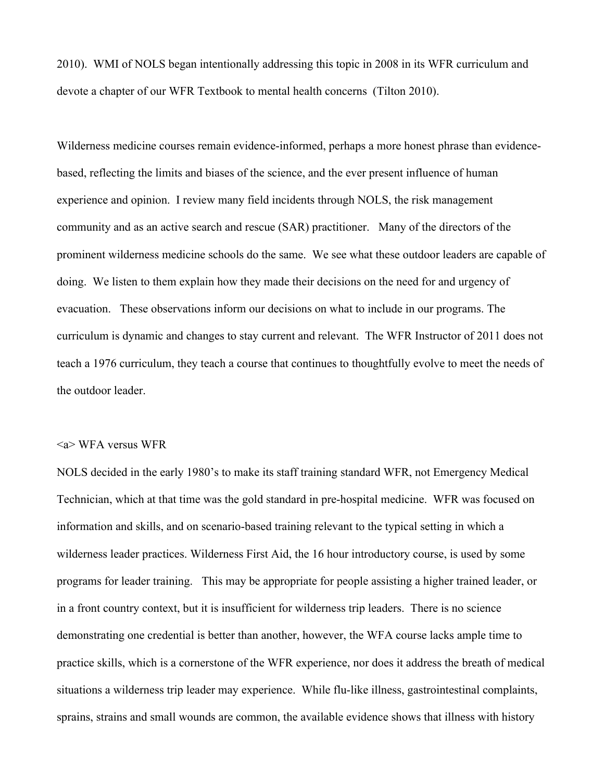2010). WMI of NOLS began intentionally addressing this topic in 2008 in its WFR curriculum and devote a chapter of our WFR Textbook to mental health concerns (Tilton 2010).

Wilderness medicine courses remain evidence-informed, perhaps a more honest phrase than evidencebased, reflecting the limits and biases of the science, and the ever present influence of human experience and opinion. I review many field incidents through NOLS, the risk management community and as an active search and rescue (SAR) practitioner. Many of the directors of the prominent wilderness medicine schools do the same. We see what these outdoor leaders are capable of doing. We listen to them explain how they made their decisions on the need for and urgency of evacuation. These observations inform our decisions on what to include in our programs. The curriculum is dynamic and changes to stay current and relevant. The WFR Instructor of 2011 does not teach a 1976 curriculum, they teach a course that continues to thoughtfully evolve to meet the needs of the outdoor leader.

#### <a> WFA versus WFR

NOLS decided in the early 1980's to make its staff training standard WFR, not Emergency Medical Technician, which at that time was the gold standard in pre-hospital medicine. WFR was focused on information and skills, and on scenario-based training relevant to the typical setting in which a wilderness leader practices. Wilderness First Aid, the 16 hour introductory course, is used by some programs for leader training. This may be appropriate for people assisting a higher trained leader, or in a front country context, but it is insufficient for wilderness trip leaders. There is no science demonstrating one credential is better than another, however, the WFA course lacks ample time to practice skills, which is a cornerstone of the WFR experience, nor does it address the breath of medical situations a wilderness trip leader may experience. While flu-like illness, gastrointestinal complaints, sprains, strains and small wounds are common, the available evidence shows that illness with history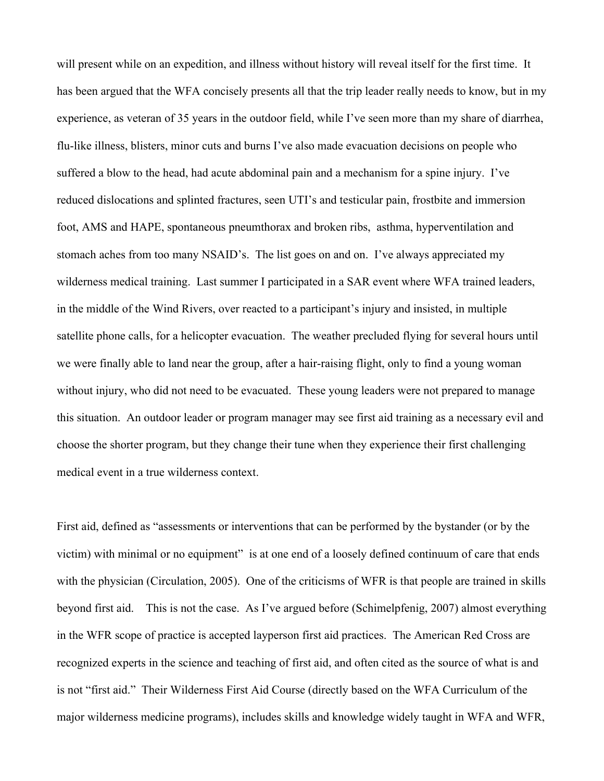will present while on an expedition, and illness without history will reveal itself for the first time. It has been argued that the WFA concisely presents all that the trip leader really needs to know, but in my experience, as veteran of 35 years in the outdoor field, while I've seen more than my share of diarrhea, flu-like illness, blisters, minor cuts and burns I've also made evacuation decisions on people who suffered a blow to the head, had acute abdominal pain and a mechanism for a spine injury. I've reduced dislocations and splinted fractures, seen UTI's and testicular pain, frostbite and immersion foot, AMS and HAPE, spontaneous pneumthorax and broken ribs, asthma, hyperventilation and stomach aches from too many NSAID's. The list goes on and on. I've always appreciated my wilderness medical training. Last summer I participated in a SAR event where WFA trained leaders, in the middle of the Wind Rivers, over reacted to a participant's injury and insisted, in multiple satellite phone calls, for a helicopter evacuation. The weather precluded flying for several hours until we were finally able to land near the group, after a hair-raising flight, only to find a young woman without injury, who did not need to be evacuated. These young leaders were not prepared to manage this situation. An outdoor leader or program manager may see first aid training as a necessary evil and choose the shorter program, but they change their tune when they experience their first challenging medical event in a true wilderness context.

First aid, defined as "assessments or interventions that can be performed by the bystander (or by the victim) with minimal or no equipment" is at one end of a loosely defined continuum of care that ends with the physician (Circulation, 2005). One of the criticisms of WFR is that people are trained in skills beyond first aid. This is not the case. As I've argued before (Schimelpfenig, 2007) almost everything in the WFR scope of practice is accepted layperson first aid practices. The American Red Cross are recognized experts in the science and teaching of first aid, and often cited as the source of what is and is not "first aid." Their Wilderness First Aid Course (directly based on the WFA Curriculum of the major wilderness medicine programs), includes skills and knowledge widely taught in WFA and WFR,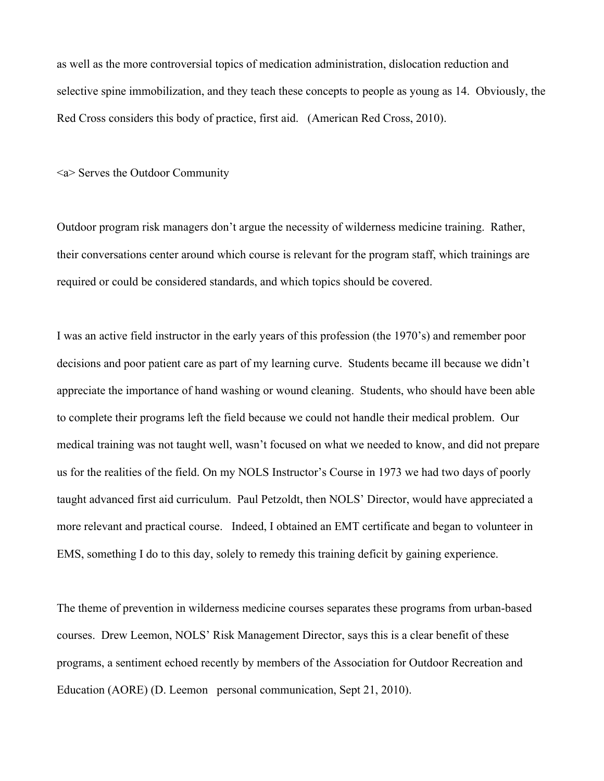as well as the more controversial topics of medication administration, dislocation reduction and selective spine immobilization, and they teach these concepts to people as young as 14. Obviously, the Red Cross considers this body of practice, first aid. (American Red Cross, 2010).

<a> Serves the Outdoor Community

Outdoor program risk managers don't argue the necessity of wilderness medicine training. Rather, their conversations center around which course is relevant for the program staff, which trainings are required or could be considered standards, and which topics should be covered.

I was an active field instructor in the early years of this profession (the 1970's) and remember poor decisions and poor patient care as part of my learning curve. Students became ill because we didn't appreciate the importance of hand washing or wound cleaning. Students, who should have been able to complete their programs left the field because we could not handle their medical problem. Our medical training was not taught well, wasn't focused on what we needed to know, and did not prepare us for the realities of the field. On my NOLS Instructor's Course in 1973 we had two days of poorly taught advanced first aid curriculum. Paul Petzoldt, then NOLS' Director, would have appreciated a more relevant and practical course. Indeed, I obtained an EMT certificate and began to volunteer in EMS, something I do to this day, solely to remedy this training deficit by gaining experience.

The theme of prevention in wilderness medicine courses separates these programs from urban-based courses. Drew Leemon, NOLS' Risk Management Director, says this is a clear benefit of these programs, a sentiment echoed recently by members of the Association for Outdoor Recreation and Education (AORE) (D. Leemon personal communication, Sept 21, 2010).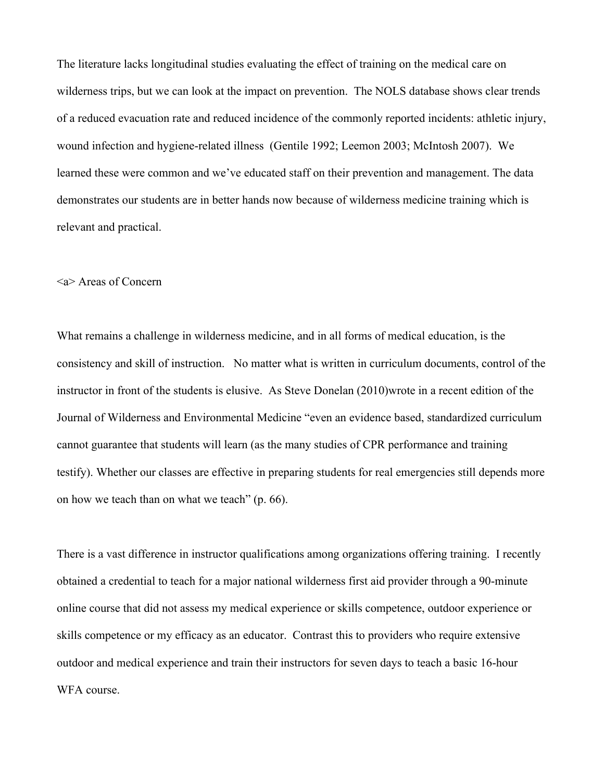The literature lacks longitudinal studies evaluating the effect of training on the medical care on wilderness trips, but we can look at the impact on prevention. The NOLS database shows clear trends of a reduced evacuation rate and reduced incidence of the commonly reported incidents: athletic injury, wound infection and hygiene-related illness (Gentile 1992; Leemon 2003; McIntosh 2007). We learned these were common and we've educated staff on their prevention and management. The data demonstrates our students are in better hands now because of wilderness medicine training which is relevant and practical.

#### <a> Areas of Concern

What remains a challenge in wilderness medicine, and in all forms of medical education, is the consistency and skill of instruction. No matter what is written in curriculum documents, control of the instructor in front of the students is elusive. As Steve Donelan (2010)wrote in a recent edition of the Journal of Wilderness and Environmental Medicine "even an evidence based, standardized curriculum cannot guarantee that students will learn (as the many studies of CPR performance and training testify). Whether our classes are effective in preparing students for real emergencies still depends more on how we teach than on what we teach" (p. 66).

There is a vast difference in instructor qualifications among organizations offering training. I recently obtained a credential to teach for a major national wilderness first aid provider through a 90-minute online course that did not assess my medical experience or skills competence, outdoor experience or skills competence or my efficacy as an educator. Contrast this to providers who require extensive outdoor and medical experience and train their instructors for seven days to teach a basic 16-hour WFA course.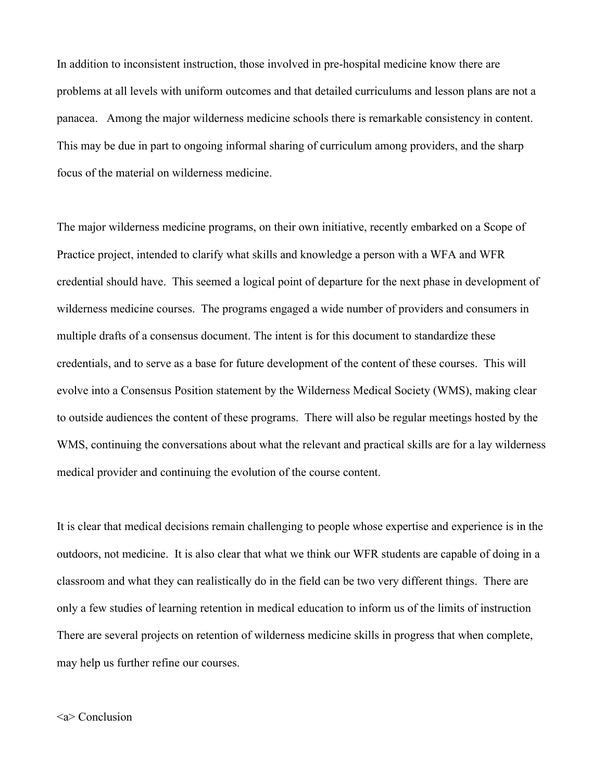In addition to inconsistent instruction, those involved in pre-hospital medicine know there are problems at all levels with uniform outcomes and that detailed curriculums and lesson plans are not a panacea. Among the major wilderness medicine schools there is remarkable consistency in content. This may be due in part to ongoing informal sharing of curriculum among providers, and the sharp focus of the material on wilderness medicine.

The major wilderness medicine programs, on their own initiative, recently embarked on a Scope of Practice project, intended to clarify what skills and knowledge a person with a WFA and WFR credential should have. This seemed a logical point of departure for the next phase in development of wilderness medicine courses. The programs engaged a wide number of providers and consumers in multiple drafts of a consensus document. The intent is for this document to standardize these credentials, and to serve as a base for future development of the content of these courses. This will evolve into a Consensus Position statement by the Wilderness Medical Society (WMS), making clear to outside audiences the content of these programs. There will also be regular meetings hosted by the WMS, continuing the conversations about what the relevant and practical skills are for a lay wilderness medical provider and continuing the evolution of the course content.

It is clear that medical decisions remain challenging to people whose expertise and experience is in the outdoors, not medicine. It is also clear that what we think our WFR students are capable of doing in a classroom and what they can realistically do in the field can be two very different things. There are only a few studies of learning retention in medical education to inform us of the limits of instruction There are several projects on retention of wilderness medicine skills in progress that when complete, may help us further refine our courses.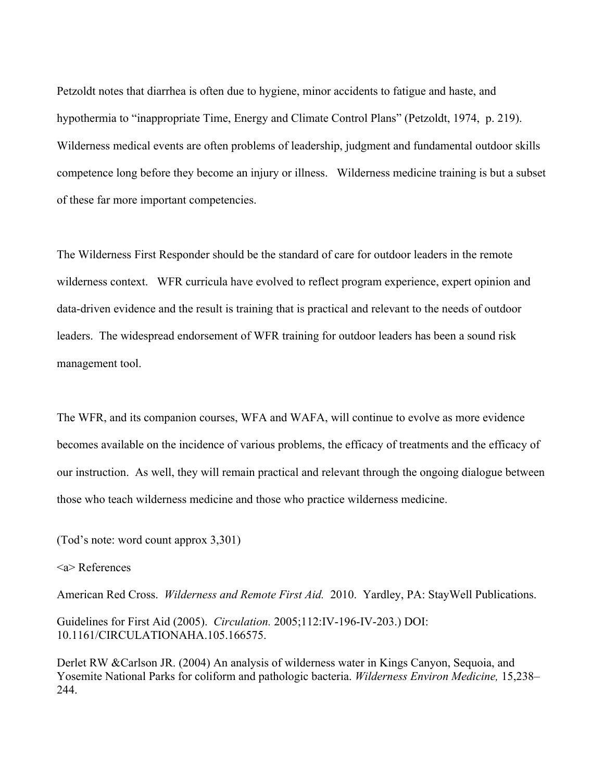Petzoldt notes that diarrhea is often due to hygiene, minor accidents to fatigue and haste, and hypothermia to "inappropriate Time, Energy and Climate Control Plans" (Petzoldt, 1974, p. 219). Wilderness medical events are often problems of leadership, judgment and fundamental outdoor skills competence long before they become an injury or illness. Wilderness medicine training is but a subset of these far more important competencies.

The Wilderness First Responder should be the standard of care for outdoor leaders in the remote wilderness context. WFR curricula have evolved to reflect program experience, expert opinion and data-driven evidence and the result is training that is practical and relevant to the needs of outdoor leaders. The widespread endorsement of WFR training for outdoor leaders has been a sound risk management tool.

The WFR, and its companion courses, WFA and WAFA, will continue to evolve as more evidence becomes available on the incidence of various problems, the efficacy of treatments and the efficacy of our instruction. As well, they will remain practical and relevant through the ongoing dialogue between those who teach wilderness medicine and those who practice wilderness medicine.

(Tod's note: word count approx 3,301)

### <a> References

American Red Cross. *Wilderness and Remote First Aid.* 2010. Yardley, PA: StayWell Publications.

Guidelines for First Aid (2005). *Circulation.* 2005;112:IV-196-IV-203.) DOI: 10.1161/CIRCULATIONAHA.105.166575.

Derlet RW &Carlson JR. (2004) An analysis of wilderness water in Kings Canyon, Sequoia, and Yosemite National Parks for coliform and pathologic bacteria. *Wilderness Environ Medicine,* 15,238– 244.